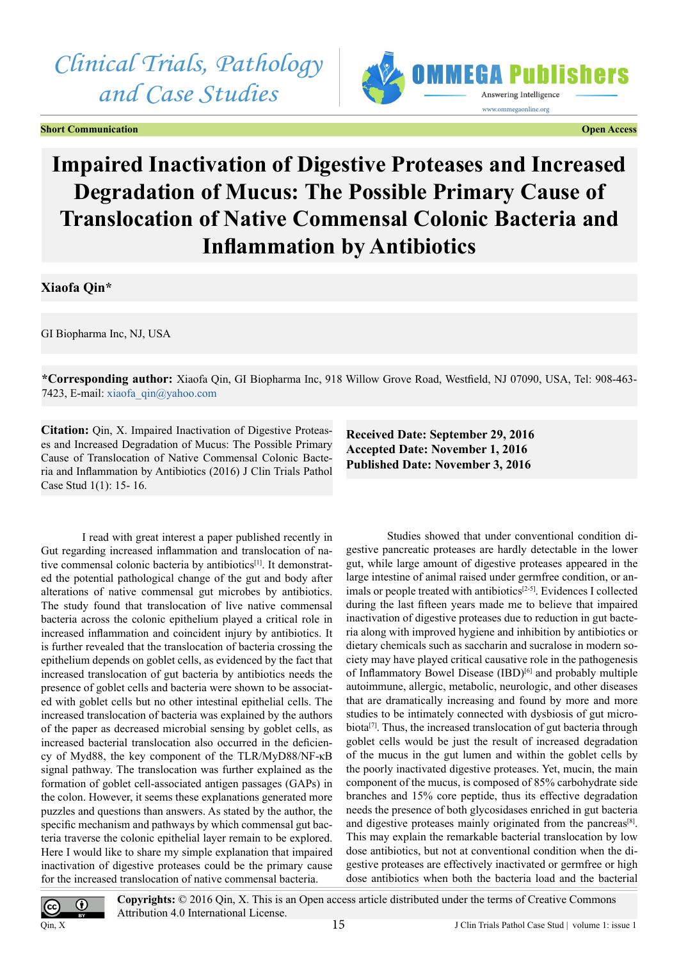# *Clinical Trials, Pathology and Case Studies*

**Short Communication Communication** Communication Communication Communication Communication Communication Communication



# **Impaired Inactivation of Digestive Proteases and Increased Degradation of Mucus: The Possible Primary Cause of Translocation of Native Commensal Colonic Bacteria and Inflammation by Antibiotics**

**Xiaofa Qin\***

GI Biopharma Inc, NJ, USA

**\*Corresponding author:** Xiaofa Qin, GI Biopharma Inc, 918 Willow Grove Road, Westfield, NJ 07090, USA, Tel: 908-463- 7423, E-mail: [xiaofa\\_qin@yahoo.com](mailto:xiaofa_qin@yahoo.com)

**Citation:** Qin, X. Impaired Inactivation of Digestive Proteases and Increased Degradation of Mucus: The Possible Primary Cause of Translocation of Native Commensal Colonic Bacteria and Inflammation by Antibiotics (2016) J Clin Trials Pathol Case Stud 1(1): 15- 16.

**Received Date: September 29, 2016 Accepted Date: November 1, 2016 Published Date: November 3, 2016**

I read with great interest a paper published recently in Gut regarding increased inflammation and translocation of native commensal colonic bacteria by antibiotics<sup>[1]</sup>. It demonstrated the potential pathological change of the gut and body after alterations of native commensal gut microbes by antibiotics. The study found that translocation of live native commensal bacteria across the colonic epithelium played a critical role in increased inflammation and coincident injury by antibiotics. It is further revealed that the translocation of bacteria crossing the epithelium depends on goblet cells, as evidenced by the fact that increased translocation of gut bacteria by antibiotics needs the presence of goblet cells and bacteria were shown to be associated with goblet cells but no other intestinal epithelial cells. The increased translocation of bacteria was explained by the authors of the paper as decreased microbial sensing by goblet cells, as increased bacterial translocation also occurred in the deficiency of Myd88, the key component of the TLR/MyD88/NF-κB signal pathway. The translocation was further explained as the formation of goblet cell-associated antigen passages (GAPs) in the colon. However, it seems these explanations generated more puzzles and questions than answers. As stated by the author, the specific mechanism and pathways by which commensal gut bacteria traverse the colonic epithelial layer remain to be explored. Here I would like to share my simple explanation that impaired inactivation of digestive proteases could be the primary cause for the increased translocation of native commensal bacteria.

Studies showed that under conventional condition digestive pancreatic proteases are hardly detectable in the lower gut, while large amount of digestive proteases appeared in the large intestine of animal raised under germfree condition, or animals or people treated with antibiotics<sup>[2-5]</sup>. Evidences I collected during the last fifteen years made me to believe that impaired inactivation of digestive proteases due to reduction in gut bacteria along with improved hygiene and inhibition by antibiotics or dietary chemicals such as saccharin and sucralose in modern society may have played critical causative role in the pathogenesis of Inflammatory Bowel Disease (IBD)<sup>[6]</sup> and probably multiple autoimmune, allergic, metabolic, neurologic, and other diseases that are dramatically increasing and found by more and more studies to be intimately connected with dysbiosis of gut micro-biota<sup>[\[7\]](#page-1-3)</sup>. Thus, the increased translocation of gut bacteria through goblet cells would be just the result of increased degradation of the mucus in the gut lumen and within the goblet cells by the poorly inactivated digestive proteases. Yet, mucin, the main component of the mucus, is composed of 85% carbohydrate side branches and 15% core peptide, thus its effective degradation needs the presence of both glycosidases enriched in gut bacteria and digestive proteases mainly originated from the pancreas<sup>[8]</sup>. This may explain the remarkable bacterial translocation by low dose antibiotics, but not at conventional condition when the digestive proteases are effectively inactivated or germfree or high dose antibiotics when both the bacteria load and the bacterial

О Qin, X

**Copyrights:** © 2016 Qin, X. This is an Open access article distributed under the terms of Creative Commons Attribution 4.0 International License.